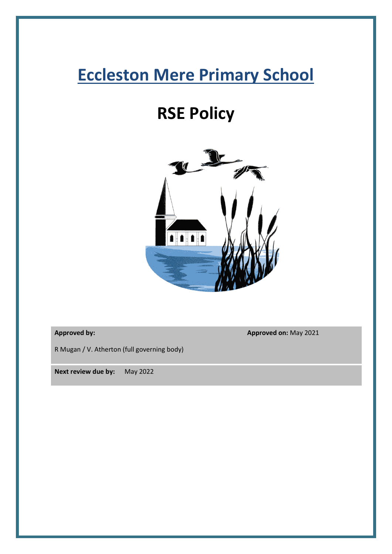# **Eccleston Mere Primary School**

# **RSE Policy**



**Approved by:**

**Approved on:** May 2021

R Mugan / V. Atherton (full governing body)

**Next review due by:** May 2022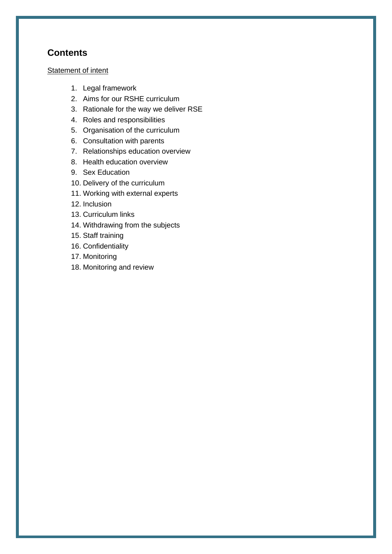# **Contents**

#### [Statement of intent](#page-2-0)

- 1. [Legal framework](#page-2-1)
- 2. Aims for our RSHE curriculum
- 3. Rationale for the way we deliver RSE
- 4. Roles and responsibilities
- 5. Organisation of the curriculum
- 6. Consultation with parents
- 7. [Relationships education overview](#page-6-0)
- 8. Health education overview
- 9. Sex Education
- 10. [Delivery of the curriculum](#page-12-0)
- 11. [Working with external experts](#page-14-0)
- 12. Inclusion
- 13. [Curriculum links](#page-15-0)
- 14. [Withdrawing from the subjects](#page-16-0)
- 15. [Staff training](#page-16-1)
- 16. [Confidentiality](#page-17-0)
- 17. [Monitoring](#page-17-1)
- 18. [Monitoring and review](#page-17-2)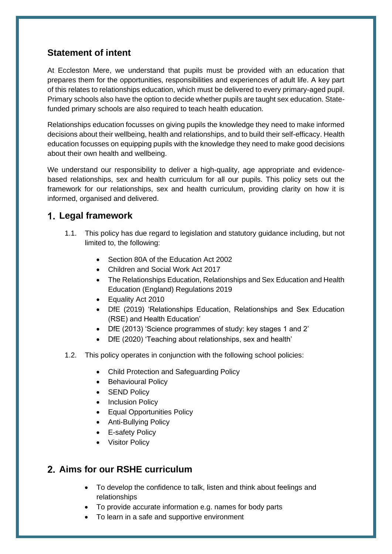# <span id="page-2-0"></span>**Statement of intent**

At Eccleston Mere, we understand that pupils must be provided with an education that prepares them for the opportunities, responsibilities and experiences of adult life. A key part of this relates to relationships education, which must be delivered to every primary-aged pupil. Primary schools also have the option to decide whether pupils are taught sex education. Statefunded primary schools are also required to teach health education.

Relationships education focusses on giving pupils the knowledge they need to make informed decisions about their wellbeing, health and relationships, and to build their self-efficacy. Health education focusses on equipping pupils with the knowledge they need to make good decisions about their own health and wellbeing.

We understand our responsibility to deliver a high-quality, age appropriate and evidencebased relationships, sex and health curriculum for all our pupils. This policy sets out the framework for our relationships, sex and health curriculum, providing clarity on how it is informed, organised and delivered.

# <span id="page-2-1"></span>**Legal framework**

- 1.1. This policy has due regard to legislation and statutory guidance including, but not limited to, the following:
	- Section 80A of the Education Act 2002
	- Children and Social Work Act 2017
	- The Relationships Education, Relationships and Sex Education and Health Education (England) Regulations 2019
	- Equality Act 2010
	- DfE (2019) 'Relationships Education, Relationships and Sex Education (RSE) and Health Education'
	- DfE (2013) 'Science programmes of study: key stages 1 and 2'
	- DfE (2020) 'Teaching about relationships, sex and health'
- 1.2. This policy operates in conjunction with the following school policies:
	- Child Protection and Safeguarding Policy
	- Behavioural Policy
	- SEND Policy
	- Inclusion Policy
	- Equal Opportunities Policy
	- Anti-Bullying Policy
	- E-safety Policy
	- Visitor Policy

# **Aims for our RSHE curriculum**

- To develop the confidence to talk, listen and think about feelings and relationships
- To provide accurate information e.g. names for body parts
- To learn in a safe and supportive environment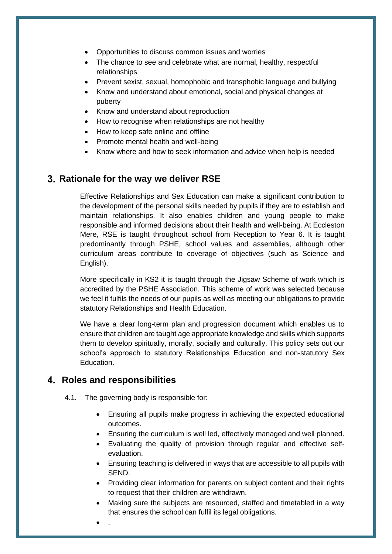- Opportunities to discuss common issues and worries
- The chance to see and celebrate what are normal, healthy, respectful relationships
- Prevent sexist, sexual, homophobic and transphobic language and bullying
- Know and understand about emotional, social and physical changes at puberty
- Know and understand about reproduction
- How to recognise when relationships are not healthy
- How to keep safe online and offline
- Promote mental health and well-being
- Know where and how to seek information and advice when help is needed

## **Rationale for the way we deliver RSE**

Effective Relationships and Sex Education can make a significant contribution to the development of the personal skills needed by pupils if they are to establish and maintain relationships. It also enables children and young people to make responsible and informed decisions about their health and well-being. At Eccleston Mere, RSE is taught throughout school from Reception to Year 6. It is taught predominantly through PSHE, school values and assemblies, although other curriculum areas contribute to coverage of objectives (such as Science and English).

More specifically in KS2 it is taught through the Jigsaw Scheme of work which is accredited by the PSHE Association. This scheme of work was selected because we feel it fulfils the needs of our pupils as well as meeting our obligations to provide statutory Relationships and Health Education.

We have a clear long-term plan and progression document which enables us to ensure that children are taught age appropriate knowledge and skills which supports them to develop spiritually, morally, socially and culturally. This policy sets out our school's approach to statutory Relationships Education and non-statutory Sex Education.

## **Roles and responsibilities**

4.1. The governing body is responsible for:

- Ensuring all pupils make progress in achieving the expected educational outcomes.
- Ensuring the curriculum is well led, effectively managed and well planned.
- Evaluating the quality of provision through regular and effective selfevaluation.
- Ensuring teaching is delivered in ways that are accessible to all pupils with SEND.
- Providing clear information for parents on subject content and their rights to request that their children are withdrawn.
- Making sure the subjects are resourced, staffed and timetabled in a way that ensures the school can fulfil its legal obligations.
- .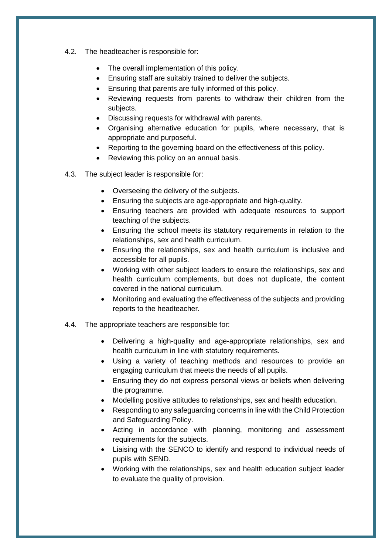- 4.2. The headteacher is responsible for:
	- The overall implementation of this policy.
	- Ensuring staff are suitably trained to deliver the subjects.
	- Ensuring that parents are fully informed of this policy.
	- Reviewing requests from parents to withdraw their children from the subjects.
	- Discussing requests for withdrawal with parents.
	- Organising alternative education for pupils, where necessary, that is appropriate and purposeful.
	- Reporting to the governing board on the effectiveness of this policy.
	- Reviewing this policy on an annual basis.
- 4.3. The subject leader is responsible for:
	- Overseeing the delivery of the subjects.
	- Ensuring the subjects are age-appropriate and high-quality.
	- Ensuring teachers are provided with adequate resources to support teaching of the subjects.
	- Ensuring the school meets its statutory requirements in relation to the relationships, sex and health curriculum.
	- Ensuring the relationships, sex and health curriculum is inclusive and accessible for all pupils.
	- Working with other subject leaders to ensure the relationships, sex and health curriculum complements, but does not duplicate, the content covered in the national curriculum.
	- Monitoring and evaluating the effectiveness of the subjects and providing reports to the headteacher.
- 4.4. The appropriate teachers are responsible for:
	- Delivering a high-quality and age-appropriate relationships, sex and health curriculum in line with statutory requirements.
	- Using a variety of teaching methods and resources to provide an engaging curriculum that meets the needs of all pupils.
	- Ensuring they do not express personal views or beliefs when delivering the programme.
	- Modelling positive attitudes to relationships, sex and health education.
	- Responding to any safeguarding concerns in line with the Child Protection and Safeguarding Policy.
	- Acting in accordance with planning, monitoring and assessment requirements for the subjects.
	- Liaising with the SENCO to identify and respond to individual needs of pupils with SEND.
	- Working with the relationships, sex and health education subject leader to evaluate the quality of provision.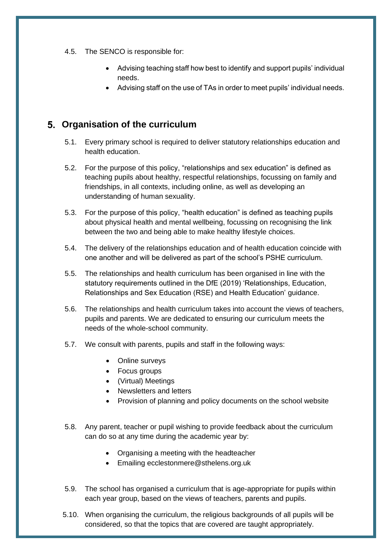- 4.5. The SENCO is responsible for:
	- Advising teaching staff how best to identify and support pupils' individual needs.
	- Advising staff on the use of TAs in order to meet pupils' individual needs.

# **Organisation of the curriculum**

- 5.1. Every primary school is required to deliver statutory relationships education and health education.
- 5.2. For the purpose of this policy, "relationships and sex education" is defined as teaching pupils about healthy, respectful relationships, focussing on family and friendships, in all contexts, including online, as well as developing an understanding of human sexuality.
- 5.3. For the purpose of this policy, "health education" is defined as teaching pupils about physical health and mental wellbeing, focussing on recognising the link between the two and being able to make healthy lifestyle choices.
- 5.4. The delivery of the relationships education and of health education coincide with one another and will be delivered as part of the school's PSHE curriculum.
- 5.5. The relationships and health curriculum has been organised in line with the statutory requirements outlined in the DfE (2019) 'Relationships, Education, Relationships and Sex Education (RSE) and Health Education' [guidance.](https://www.gov.uk/government/publications/relationships-education-relationships-and-sex-education-rse-and-health-education)
- 5.6. The relationships and health curriculum takes into account the views of teachers, pupils and parents. We are dedicated to ensuring our curriculum meets the needs of the whole-school community.
- 5.7. We consult with parents, pupils and staff in the following ways:
	- Online surveys
	- Focus groups
	- (Virtual) Meetings
	- Newsletters and letters
	- Provision of planning and policy documents on the school website
- 5.8. Any parent, teacher or pupil wishing to provide feedback about the curriculum can do so at any time during the academic year by:
	- Organising a meeting with the headteacher
	- Emailing ecclestonmere@sthelens.org.uk
- 5.9. The school has organised a curriculum that is age-appropriate for pupils within each year group, based on the views of teachers, parents and pupils.
- 5.10. When organising the curriculum, the religious backgrounds of all pupils will be considered, so that the topics that are covered are taught appropriately.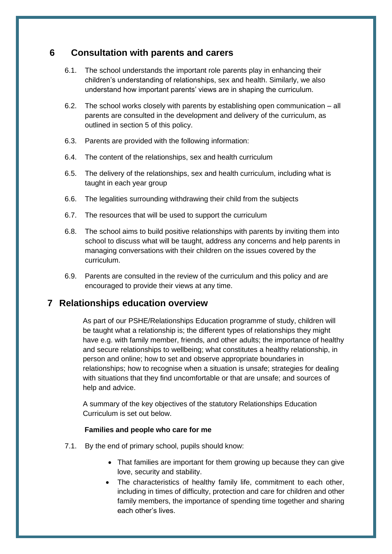# **6 Consultation with parents and carers**

- 6.1. The school understands the important role parents play in enhancing their children's understanding of relationships, sex and health. Similarly, we also understand how important parents' views are in shaping the curriculum.
- 6.2. The school works closely with parents by establishing open communication all parents are consulted in the development and delivery of the curriculum, as outlined in section 5 of this policy.
- 6.3. Parents are provided with the following information:
- 6.4. The content of the relationships, sex and health curriculum
- 6.5. The delivery of the relationships, sex and health curriculum, including what is taught in each year group
- 6.6. The legalities surrounding withdrawing their child from the subjects
- 6.7. The resources that will be used to support the curriculum
- 6.8. The school aims to build positive relationships with parents by inviting them into school to discuss what will be taught, address any concerns and help parents in managing conversations with their children on the issues covered by the curriculum.
- 6.9. Parents are consulted in the review of the curriculum and this policy and are encouraged to provide their views at any time.

## <span id="page-6-0"></span>**7 Relationships education overview**

As part of our PSHE/Relationships Education programme of study, children will be taught what a relationship is; the different types of relationships they might have e.g. with family member, friends, and other adults; the importance of healthy and secure relationships to wellbeing; what constitutes a healthy relationship, in person and online; how to set and observe appropriate boundaries in relationships; how to recognise when a situation is unsafe; strategies for dealing with situations that they find uncomfortable or that are unsafe; and sources of help and advice.

A summary of the key objectives of the statutory Relationships Education Curriculum is set out below.

#### **Families and people who care for me**

- 7.1. By the end of primary school, pupils should know:
	- That families are important for them growing up because they can give love, security and stability.
	- The characteristics of healthy family life, commitment to each other, including in times of difficulty, protection and care for children and other family members, the importance of spending time together and sharing each other's lives.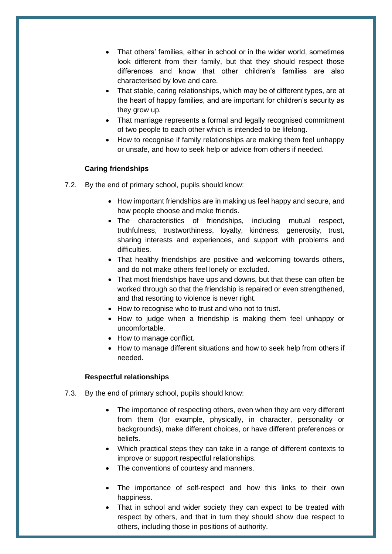- That others' families, either in school or in the wider world, sometimes look different from their family, but that they should respect those differences and know that other children's families are also characterised by love and care.
- That stable, caring relationships, which may be of different types, are at the heart of happy families, and are important for children's security as they grow up.
- That marriage represents a formal and legally recognised commitment of two people to each other which is intended to be lifelong.
- How to recognise if family relationships are making them feel unhappy or unsafe, and how to seek help or advice from others if needed.

#### **Caring friendships**

- 7.2. By the end of primary school, pupils should know:
	- How important friendships are in making us feel happy and secure, and how people choose and make friends.
	- The characteristics of friendships, including mutual respect, truthfulness, trustworthiness, loyalty, kindness, generosity, trust, sharing interests and experiences, and support with problems and difficulties.
	- That healthy friendships are positive and welcoming towards others, and do not make others feel lonely or excluded.
	- That most friendships have ups and downs, but that these can often be worked through so that the friendship is repaired or even strengthened, and that resorting to violence is never right.
	- How to recognise who to trust and who not to trust.
	- How to judge when a friendship is making them feel unhappy or uncomfortable.
	- How to manage conflict.
	- How to manage different situations and how to seek help from others if needed.

#### **Respectful relationships**

- 7.3. By the end of primary school, pupils should know:
	- The importance of respecting others, even when they are very different from them (for example, physically, in character, personality or backgrounds), make different choices, or have different preferences or beliefs.
	- Which practical steps they can take in a range of different contexts to improve or support respectful relationships.
	- The conventions of courtesy and manners.
	- The importance of self-respect and how this links to their own happiness.
	- That in school and wider society they can expect to be treated with respect by others, and that in turn they should show due respect to others, including those in positions of authority.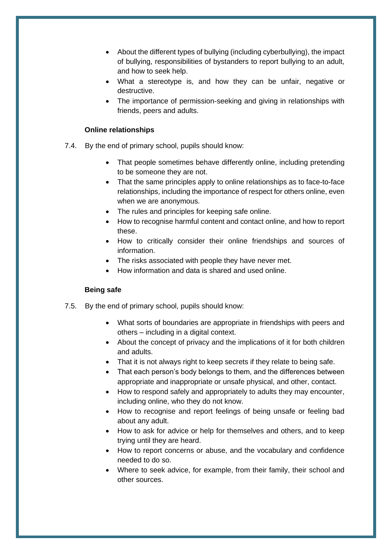- About the different types of bullying (including cyberbullying), the impact of bullying, responsibilities of bystanders to report bullying to an adult, and how to seek help.
- What a stereotype is, and how they can be unfair, negative or destructive.
- The importance of permission-seeking and giving in relationships with friends, peers and adults.

#### **Online relationships**

- 7.4. By the end of primary school, pupils should know:
	- That people sometimes behave differently online, including pretending to be someone they are not.
	- That the same principles apply to online relationships as to face-to-face relationships, including the importance of respect for others online, even when we are anonymous.
	- The rules and principles for keeping safe online.
	- How to recognise harmful content and contact online, and how to report these.
	- How to critically consider their online friendships and sources of information.
	- The risks associated with people they have never met.
	- How information and data is shared and used online.

#### **Being safe**

- 7.5. By the end of primary school, pupils should know:
	- What sorts of boundaries are appropriate in friendships with peers and others – including in a digital context.
	- About the concept of privacy and the implications of it for both children and adults.
	- That it is not always right to keep secrets if they relate to being safe.
	- That each person's body belongs to them, and the differences between appropriate and inappropriate or unsafe physical, and other, contact.
	- How to respond safely and appropriately to adults they may encounter, including online, who they do not know.
	- How to recognise and report feelings of being unsafe or feeling bad about any adult.
	- How to ask for advice or help for themselves and others, and to keep trying until they are heard.
	- How to report concerns or abuse, and the vocabulary and confidence needed to do so.
	- Where to seek advice, for example, from their family, their school and other sources.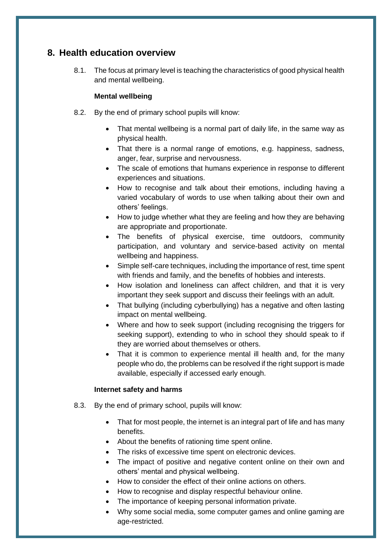# **8. Health education overview**

8.1. The focus at primary level is teaching the characteristics of good physical health and mental wellbeing.

### **Mental wellbeing**

- 8.2. By the end of primary school pupils will know:
	- That mental wellbeing is a normal part of daily life, in the same way as physical health.
	- That there is a normal range of emotions, e.g. happiness, sadness, anger, fear, surprise and nervousness.
	- The scale of emotions that humans experience in response to different experiences and situations.
	- How to recognise and talk about their emotions, including having a varied vocabulary of words to use when talking about their own and others' feelings.
	- How to judge whether what they are feeling and how they are behaving are appropriate and proportionate.
	- The benefits of physical exercise, time outdoors, community participation, and voluntary and service-based activity on mental wellbeing and happiness.
	- Simple self-care techniques, including the importance of rest, time spent with friends and family, and the benefits of hobbies and interests.
	- How isolation and loneliness can affect children, and that it is very important they seek support and discuss their feelings with an adult.
	- That bullying (including cyberbullying) has a negative and often lasting impact on mental wellbeing.
	- Where and how to seek support (including recognising the triggers for seeking support), extending to who in school they should speak to if they are worried about themselves or others.
	- That it is common to experience mental ill health and, for the many people who do, the problems can be resolved if the right support is made available, especially if accessed early enough.

### **Internet safety and harms**

- 8.3. By the end of primary school, pupils will know:
	- That for most people, the internet is an integral part of life and has many benefits.
	- About the benefits of rationing time spent online.
	- The risks of excessive time spent on electronic devices.
	- The impact of positive and negative content online on their own and others' mental and physical wellbeing.
	- How to consider the effect of their online actions on others.
	- How to recognise and display respectful behaviour online.
	- The importance of keeping personal information private.
	- Why some social media, some computer games and online gaming are age-restricted.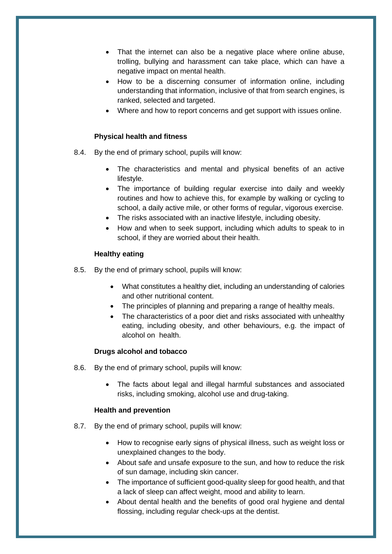- That the internet can also be a negative place where online abuse, trolling, bullying and harassment can take place, which can have a negative impact on mental health.
- How to be a discerning consumer of information online, including understanding that information, inclusive of that from search engines, is ranked, selected and targeted.
- Where and how to report concerns and get support with issues online.

#### **Physical health and fitness**

- 8.4. By the end of primary school, pupils will know:
	- The characteristics and mental and physical benefits of an active lifestyle.
	- The importance of building regular exercise into daily and weekly routines and how to achieve this, for example by walking or cycling to school, a daily active mile, or other forms of regular, vigorous exercise.
	- The risks associated with an inactive lifestyle, including obesity.
	- How and when to seek support, including which adults to speak to in school, if they are worried about their health.

#### **Healthy eating**

- 8.5. By the end of primary school, pupils will know:
	- What constitutes a healthy diet, including an understanding of calories and other nutritional content.
	- The principles of planning and preparing a range of healthy meals.
	- The characteristics of a poor diet and risks associated with unhealthy eating, including obesity, and other behaviours, e.g. the impact of alcohol on health.

#### **Drugs alcohol and tobacco**

- 8.6. By the end of primary school, pupils will know:
	- The facts about legal and illegal harmful substances and associated risks, including smoking, alcohol use and drug-taking.

#### **Health and prevention**

- 8.7. By the end of primary school, pupils will know:
	- How to recognise early signs of physical illness, such as weight loss or unexplained changes to the body.
	- About safe and unsafe exposure to the sun, and how to reduce the risk of sun damage, including skin cancer.
	- The importance of sufficient good-quality sleep for good health, and that a lack of sleep can affect weight, mood and ability to learn.
	- About dental health and the benefits of good oral hygiene and dental flossing, including regular check-ups at the dentist.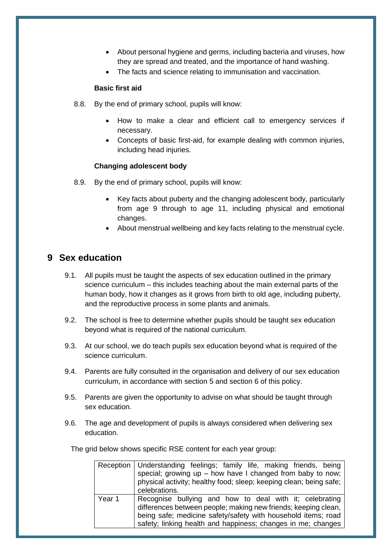- About personal hygiene and germs, including bacteria and viruses, how they are spread and treated, and the importance of hand washing.
- The facts and science relating to immunisation and vaccination.

#### **Basic first aid**

- 8.8. By the end of primary school, pupils will know:
	- How to make a clear and efficient call to emergency services if necessary.
	- Concepts of basic first-aid, for example dealing with common injuries, including head injuries.

#### **Changing adolescent body**

- 8.9. By the end of primary school, pupils will know:
	- Key facts about puberty and the changing adolescent body, particularly from age 9 through to age 11, including physical and emotional changes.
	- About menstrual wellbeing and key facts relating to the menstrual cycle.

# **9 Sex education**

- 9.1. All pupils must be taught the aspects of sex education outlined in the primary science curriculum – this includes teaching about the main external parts of the human body, how it changes as it grows from birth to old age, including puberty, and the reproductive process in some plants and animals.
- 9.2. The school is free to determine whether pupils should be taught sex education beyond what is required of the national curriculum.
- 9.3. At our school, we do teach pupils sex education beyond what is required of the science curriculum.
- 9.4. Parents are fully consulted in the organisation and delivery of our sex education curriculum, in accordance with section 5 and section 6 of this policy.
- 9.5. Parents are given the opportunity to advise on what should be taught through sex education.
- 9.6. The age and development of pupils is always considered when delivering sex education.

The grid below shows specific RSE content for each year group:

|        | Reception   Understanding feelings; family life, making friends, being |
|--------|------------------------------------------------------------------------|
|        | special; growing $up$ – how have I changed from baby to now;           |
|        | physical activity; healthy food; sleep; keeping clean; being safe;     |
|        | celebrations.                                                          |
| Year 1 | Recognise bullying and how to deal with it; celebrating                |
|        | differences between people; making new friends; keeping clean,         |
|        | being safe; medicine safety/safety with household items; road          |
|        | safety; linking health and happiness; changes in me; changes           |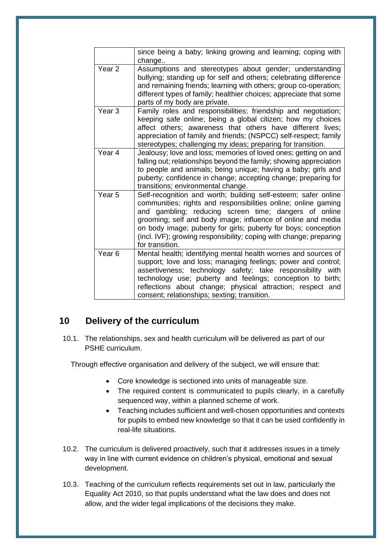|                   | since being a baby; linking growing and learning; coping with<br>change                                                                                                                                                                                                                                                                                                                                              |
|-------------------|----------------------------------------------------------------------------------------------------------------------------------------------------------------------------------------------------------------------------------------------------------------------------------------------------------------------------------------------------------------------------------------------------------------------|
| Year <sub>2</sub> | Assumptions and stereotypes about gender; understanding<br>bullying; standing up for self and others; celebrating difference<br>and remaining friends; learning with others; group co-operation;<br>different types of family; healthier choices; appreciate that some<br>parts of my body are private.                                                                                                              |
| Year <sub>3</sub> | Family roles and responsibilities; friendship and negotiation;<br>keeping safe online; being a global citizen; how my choices<br>affect others; awareness that others have different lives;<br>appreciation of family and friends; (NSPCC) self-respect; family<br>stereotypes; challenging my ideas; preparing for transition.                                                                                      |
| Year <sub>4</sub> | Jealousy; love and loss; memories of loved ones; getting on and<br>falling out; relationships beyond the family; showing appreciation<br>to people and animals; being unique; having a baby; girls and<br>puberty; confidence in change; accepting change; preparing for<br>transitions; environmental change.                                                                                                       |
| Year <sub>5</sub> | Self-recognition and worth; building self-esteem; safer online<br>communities; rights and responsibilities online; online gaming<br>and gambling; reducing screen time; dangers of online<br>grooming; self and body image; influence of online and media<br>on body image; puberty for girls; puberty for boys; conception<br>(incl. IVF); growing responsibility; coping with change; preparing<br>for transition. |
| Year <sub>6</sub> | Mental health; identifying mental health worries and sources of<br>support; love and loss; managing feelings; power and control;<br>assertiveness; technology safety; take responsibility<br>with<br>technology use; puberty and feelings; conception to birth;<br>reflections about change; physical attraction; respect and<br>consent; relationships; sexting; transition.                                        |

# <span id="page-12-0"></span>**10 Delivery of the curriculum**

10.1. The relationships, sex and health curriculum will be delivered as part of our PSHE curriculum.

Through effective organisation and delivery of the subject, we will ensure that:

- Core knowledge is sectioned into units of manageable size.
- The required content is communicated to pupils clearly, in a carefully sequenced way, within a planned scheme of work.
- Teaching includes sufficient and well-chosen opportunities and contexts for pupils to embed new knowledge so that it can be used confidently in real-life situations.
- 10.2. The curriculum is delivered proactively, such that it addresses issues in a timely way in line with current evidence on children's physical, emotional and sexual development.
- 10.3. Teaching of the curriculum reflects requirements set out in law, particularly the Equality Act 2010, so that pupils understand what the law does and does not allow, and the wider legal implications of the decisions they make.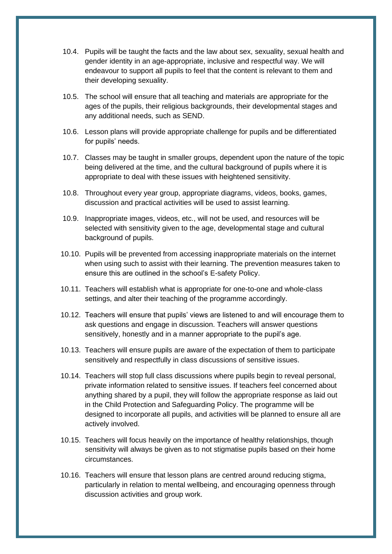- 10.4. Pupils will be taught the facts and the law about sex, sexuality, sexual health and gender identity in an age-appropriate, inclusive and respectful way. We will endeavour to support all pupils to feel that the content is relevant to them and their developing sexuality.
- 10.5. The school will ensure that all teaching and materials are appropriate for the ages of the pupils, their religious backgrounds, their developmental stages and any additional needs, such as SEND.
- 10.6. Lesson plans will provide appropriate challenge for pupils and be differentiated for pupils' needs.
- 10.7. Classes may be taught in smaller groups, dependent upon the nature of the topic being delivered at the time, and the cultural background of pupils where it is appropriate to deal with these issues with heightened sensitivity.
- 10.8. Throughout every year group, appropriate diagrams, videos, books, games, discussion and practical activities will be used to assist learning.
- 10.9. Inappropriate images, videos, etc., will not be used, and resources will be selected with sensitivity given to the age, developmental stage and cultural background of pupils.
- 10.10. Pupils will be prevented from accessing inappropriate materials on the internet when using such to assist with their learning. The prevention measures taken to ensure this are outlined in the school's E-safety Policy.
- 10.11. Teachers will establish what is appropriate for one-to-one and whole-class settings, and alter their teaching of the programme accordingly.
- 10.12. Teachers will ensure that pupils' views are listened to and will encourage them to ask questions and engage in discussion. Teachers will answer questions sensitively, honestly and in a manner appropriate to the pupil's age.
- 10.13. Teachers will ensure pupils are aware of the expectation of them to participate sensitively and respectfully in class discussions of sensitive issues.
- 10.14. Teachers will stop full class discussions where pupils begin to reveal personal, private information related to sensitive issues. If teachers feel concerned about anything shared by a pupil, they will follow the appropriate response as laid out in the Child Protection and Safeguarding Policy. The programme will be designed to incorporate all pupils, and activities will be planned to ensure all are actively involved.
- 10.15. Teachers will focus heavily on the importance of healthy relationships, though sensitivity will always be given as to not stigmatise pupils based on their home circumstances.
- 10.16. Teachers will ensure that lesson plans are centred around reducing stigma, particularly in relation to mental wellbeing, and encouraging openness through discussion activities and group work.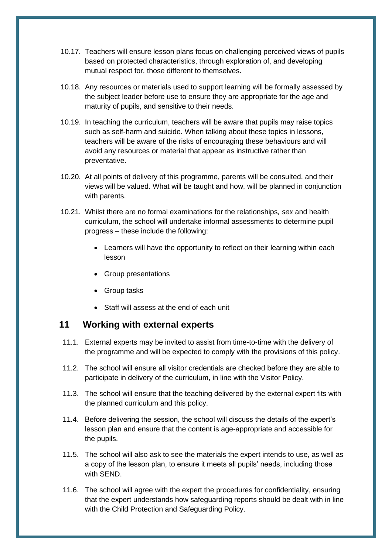- 10.17. Teachers will ensure lesson plans focus on challenging perceived views of pupils based on protected characteristics, through exploration of, and developing mutual respect for, those different to themselves.
- 10.18. Any resources or materials used to support learning will be formally assessed by the subject leader before use to ensure they are appropriate for the age and maturity of pupils, and sensitive to their needs.
- 10.19. In teaching the curriculum, teachers will be aware that pupils may raise topics such as self-harm and suicide. When talking about these topics in lessons, teachers will be aware of the risks of encouraging these behaviours and will avoid any resources or material that appear as instructive rather than preventative.
- 10.20. At all points of delivery of this programme, parents will be consulted, and their views will be valued. What will be taught and how, will be planned in conjunction with parents.
- 10.21. Whilst there are no formal examinations for the relationships*, sex* and health curriculum, the school will undertake informal assessments to determine pupil progress – these include the following:
	- Learners will have the opportunity to reflect on their learning within each lesson
	- Group presentations
	- Group tasks
	- Staff will assess at the end of each unit

## <span id="page-14-0"></span>**11 Working with external experts**

- 11.1. External experts may be invited to assist from time-to-time with the delivery of the programme and will be expected to comply with the provisions of this policy.
- 11.2. The school will ensure all visitor credentials are checked before they are able to participate in delivery of the curriculum, in line with the Visitor Policy.
- 11.3. The school will ensure that the teaching delivered by the external expert fits with the planned curriculum and this policy.
- 11.4. Before delivering the session, the school will discuss the details of the expert's lesson plan and ensure that the content is age-appropriate and accessible for the pupils.
- 11.5. The school will also ask to see the materials the expert intends to use, as well as a copy of the lesson plan, to ensure it meets all pupils' needs, including those with SEND.
- 11.6. The school will agree with the expert the procedures for confidentiality, ensuring that the expert understands how safeguarding reports should be dealt with in line with the Child Protection and Safeguarding Policy.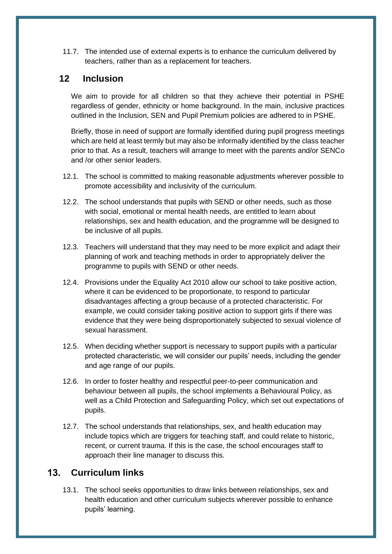11.7. The intended use of external experts is to enhance the curriculum delivered by teachers, rather than as a replacement for teachers.

# **12 Inclusion**

We aim to provide for all children so that they achieve their potential in PSHE regardless of gender, ethnicity or home background. In the main, inclusive practices outlined in the Inclusion, SEN and Pupil Premium policies are adhered to in PSHE.

Briefly, those in need of support are formally identified during pupil progress meetings which are held at least termly but may also be informally identified by the class teacher prior to that. As a result, teachers will arrange to meet with the parents and/or SENCo and /or other senior leaders.

- 12.1. The school is committed to making reasonable adjustments wherever possible to promote accessibility and inclusivity of the curriculum.
- 12.2. The school understands that pupils with SEND or other needs, such as those with social, emotional or mental health needs, are entitled to learn about relationships, sex and health education, and the programme will be designed to be inclusive of all pupils.
- 12.3. Teachers will understand that they may need to be more explicit and adapt their planning of work and teaching methods in order to appropriately deliver the programme to pupils with SEND or other needs.
- 12.4. Provisions under the Equality Act 2010 allow our school to take positive action, where it can be evidenced to be proportionate, to respond to particular disadvantages affecting a group because of a protected characteristic. For example, we could consider taking positive action to support girls if there was evidence that they were being disproportionately subjected to sexual violence of sexual harassment.
- 12.5. When deciding whether support is necessary to support pupils with a particular protected characteristic, we will consider our pupils' needs, including the gender and age range of our pupils.
- 12.6. In order to foster healthy and respectful peer-to-peer communication and behaviour between all pupils, the school implements a Behavioural Policy, as well as a Child Protection and Safeguarding Policy, which set out expectations of pupils.
- 12.7. The school understands that relationships, sex, and health education may include topics which are triggers for teaching staff, and could relate to historic, recent, or current trauma. If this is the case, the school encourages staff to approach their line manager to discuss this.

# <span id="page-15-0"></span>**Curriculum links**

13.1. The school seeks opportunities to draw links between relationships, sex and health education and other curriculum subjects wherever possible to enhance pupils' learning.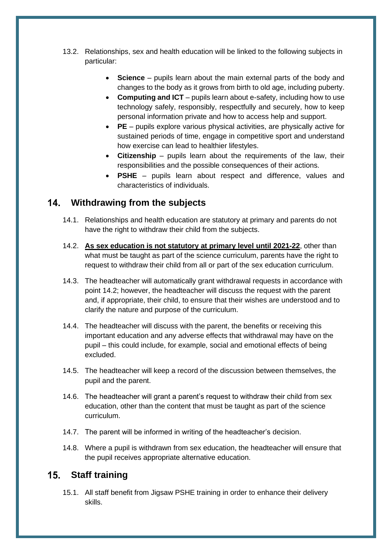- 13.2. Relationships, sex and health education will be linked to the following subjects in particular:
	- **Science** pupils learn about the main external parts of the body and changes to the body as it grows from birth to old age, including puberty.
	- **Computing and ICT** pupils learn about e-safety, including how to use technology safely, responsibly, respectfully and securely, how to keep personal information private and how to access help and support.
	- **PE**  pupils explore various physical activities, are physically active for sustained periods of time, engage in competitive sport and understand how exercise can lead to healthier lifestyles.
	- **Citizenship**  pupils learn about the requirements of the law, their responsibilities and the possible consequences of their actions.
	- **PSHE**  pupils learn about respect and difference, values and characteristics of individuals.

# <span id="page-16-0"></span>**Withdrawing from the subjects**

- 14.1. Relationships and health education are statutory at primary and parents do not have the right to withdraw their child from the subjects.
- 14.2. **As sex education is not statutory at primary level until 2021-22**, other than what must be taught as part of the science curriculum, parents have the right to request to withdraw their child from all or part of the sex education curriculum.
- 14.3. The headteacher will automatically grant withdrawal requests in accordance with point 14.2; however, the headteacher will discuss the request with the parent and, if appropriate, their child, to ensure that their wishes are understood and to clarify the nature and purpose of the curriculum.
- 14.4. The headteacher will discuss with the parent, the benefits or receiving this important education and any adverse effects that withdrawal may have on the pupil – this could include, for example, social and emotional effects of being excluded.
- 14.5. The headteacher will keep a record of the discussion between themselves, the pupil and the parent.
- 14.6. The headteacher will grant a parent's request to withdraw their child from sex education, other than the content that must be taught as part of the science curriculum.
- 14.7. The parent will be informed in writing of the headteacher's decision.
- 14.8. Where a pupil is withdrawn from sex education, the headteacher will ensure that the pupil receives appropriate alternative education.

#### <span id="page-16-1"></span>**Staff training** 15.

15.1. All staff benefit from Jigsaw PSHE training in order to enhance their delivery skills.